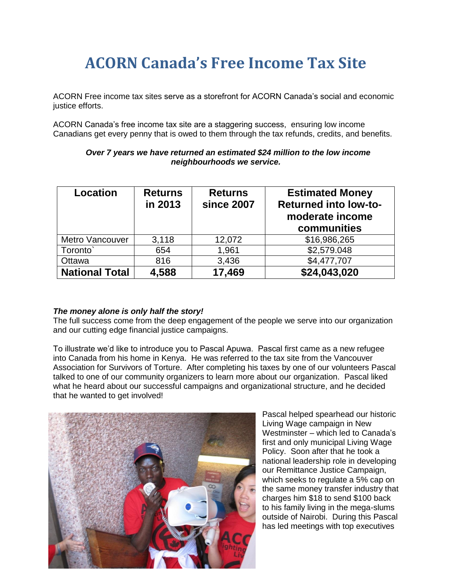## **ACORN Canada's Free Income Tax Site**

ACORN Free income tax sites serve as a storefront for ACORN Canada's social and economic justice efforts.

ACORN Canada's free income tax site are a staggering success, ensuring low income Canadians get every penny that is owed to them through the tax refunds, credits, and benefits.

| <b>Location</b>       | <b>Returns</b><br>in 2013 | <b>Returns</b><br>since 2007 | <b>Estimated Money</b><br><b>Returned into low-to-</b><br>moderate income<br>communities |
|-----------------------|---------------------------|------------------------------|------------------------------------------------------------------------------------------|
| Metro Vancouver       | 3,118                     | 12,072                       | \$16,986,265                                                                             |
| Toronto <sup>®</sup>  | 654                       | 1,961                        | \$2,579.048                                                                              |
| Ottawa                | 816                       | 3,436                        | \$4,477,707                                                                              |
| <b>National Total</b> | 4,588                     | 17,469                       | \$24,043,020                                                                             |

## *Over 7 years we have returned an estimated \$24 million to the low income neighbourhoods we service.*

## *The money alone is only half the story!*

The full success come from the deep engagement of the people we serve into our organization and our cutting edge financial justice campaigns.

To illustrate we'd like to introduce you to Pascal Apuwa. Pascal first came as a new refugee into Canada from his home in Kenya. He was referred to the tax site from the Vancouver Association for Survivors of Torture. After completing his taxes by one of our volunteers Pascal talked to one of our community organizers to learn more about our organization. Pascal liked what he heard about our successful campaigns and organizational structure, and he decided that he wanted to get involved!



Pascal helped spearhead our historic Living Wage campaign in New Westminster – which led to Canada's first and only municipal Living Wage Policy. Soon after that he took a national leadership role in developing our Remittance Justice Campaign, which seeks to regulate a 5% cap on the same money transfer industry that charges him \$18 to send \$100 back to his family living in the mega-slums outside of Nairobi. During this Pascal has led meetings with top executives